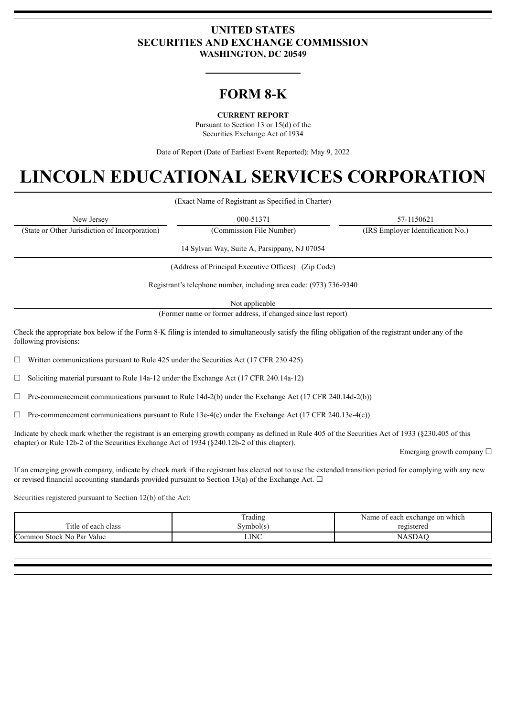# **UNITED STATES SECURITIES AND EXCHANGE COMMISSION WASHINGTON, DC 20549**

# **FORM 8-K**

**CURRENT REPORT**

Pursuant to Section 13 or 15(d) of the Securities Exchange Act of 1934

Date of Report (Date of Earliest Event Reported): May 9, 2022

# **LINCOLN EDUCATIONAL SERVICES CORPORATION**

(Exact Name of Registrant as Specified in Charter)

| New Jersey                                     | 000-51371               | 57-1150621                        |
|------------------------------------------------|-------------------------|-----------------------------------|
| (State or Other Jurisdiction of Incorporation) | Commission File Number) | (IRS Employer Identification No.) |

14 Sylvan Way, Suite A, Parsippany, NJ 07054

(Address of Principal Executive Offices) (Zip Code)

Registrant's telephone number, including area code: (973) 736-9340

Not applicable

(Former name or former address, if changed since last report)

Check the appropriate box below if the Form 8-K filing is intended to simultaneously satisfy the filing obligation of the registrant under any of the following provisions:

 $\Box$  Written communications pursuant to Rule 425 under the Securities Act (17 CFR 230.425)

 $\Box$  Soliciting material pursuant to Rule 14a-12 under the Exchange Act (17 CFR 240.14a-12)

 $\Box$  Pre-commencement communications pursuant to Rule 14d-2(b) under the Exchange Act (17 CFR 240.14d-2(b))

 $\Box$  Pre-commencement communications pursuant to Rule 13e-4(c) under the Exchange Act (17 CFR 240.13e-4(c))

Indicate by check mark whether the registrant is an emerging growth company as defined in Rule 405 of the Securities Act of 1933 (§230.405 of this chapter) or Rule 12b-2 of the Securities Exchange Act of 1934 (§240.12b-2 of this chapter).

Emerging growth company  $\Box$ 

If an emerging growth company, indicate by check mark if the registrant has elected not to use the extended transition period for complying with any new or revised financial accounting standards provided pursuant to Section 13(a) of the Exchange Act.  $\Box$ 

Securities registered pursuant to Section 12(b) of the Act:

|                           | Frading     | Name of each exchange on which |  |  |  |  |  |  |
|---------------------------|-------------|--------------------------------|--|--|--|--|--|--|
| Title of each class       | Symbol(s)   | registered                     |  |  |  |  |  |  |
| Common Stock No Par Value | <b>LINC</b> | NASDA                          |  |  |  |  |  |  |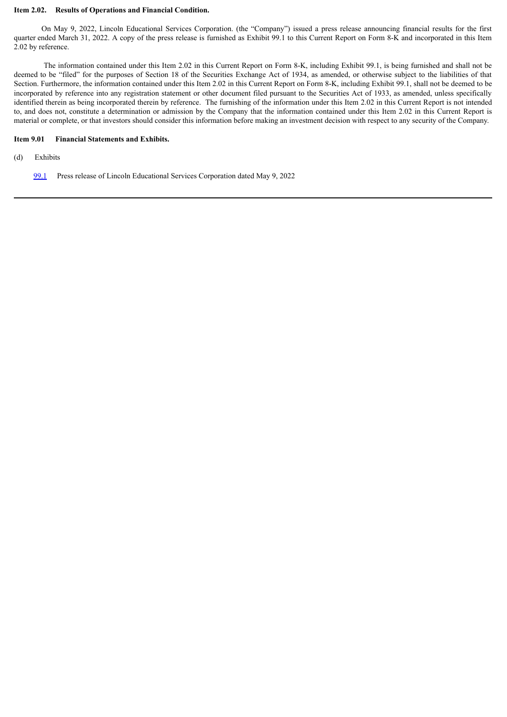#### **Item 2.02. Results of Operations and Financial Condition.**

On May 9, 2022, Lincoln Educational Services Corporation. (the "Company") issued a press release announcing financial results for the first quarter ended March 31, 2022. A copy of the press release is furnished as Exhibit 99.1 to this Current Report on Form 8-K and incorporated in this Item 2.02 by reference.

The information contained under this Item 2.02 in this Current Report on Form 8-K, including Exhibit 99.1, is being furnished and shall not be deemed to be "filed" for the purposes of Section 18 of the Securities Exchange Act of 1934, as amended, or otherwise subject to the liabilities of that Section. Furthermore, the information contained under this Item 2.02 in this Current Report on Form 8-K, including Exhibit 99.1, shall not be deemed to be incorporated by reference into any registration statement or other document filed pursuant to the Securities Act of 1933, as amended, unless specifically identified therein as being incorporated therein by reference. The furnishing of the information under this Item 2.02 in this Current Report is not intended to, and does not, constitute a determination or admission by the Company that the information contained under this Item 2.02 in this Current Report is material or complete, or that investors should consider this information before making an investment decision with respect to any security of the Company.

#### **Item 9.01 Financial Statements and Exhibits.**

- (d) Exhibits
	- [99.1](#page-3-0) Press release of Lincoln Educational Services Corporation dated May 9, 2022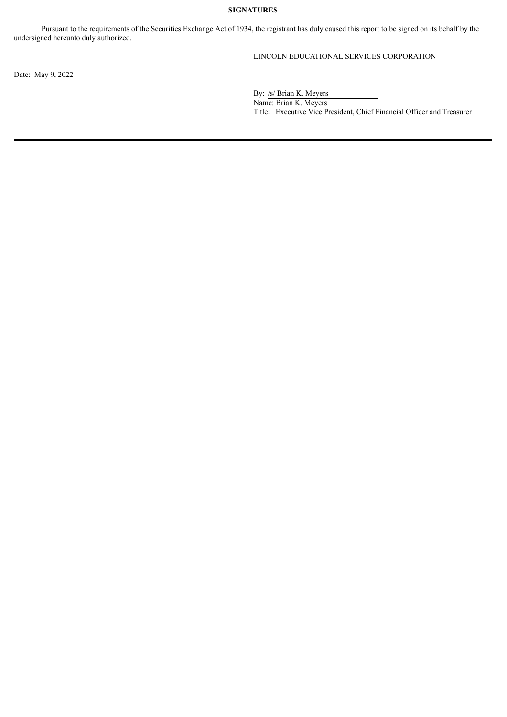# **SIGNATURES**

Pursuant to the requirements of the Securities Exchange Act of 1934, the registrant has duly caused this report to be signed on its behalf by the undersigned hereunto duly authorized.

# LINCOLN EDUCATIONAL SERVICES CORPORATION

Date: May 9, 2022

By: /s/ Brian K. Meyers

Name: Brian K. Meyers Title: Executive Vice President, Chief Financial Officer and Treasurer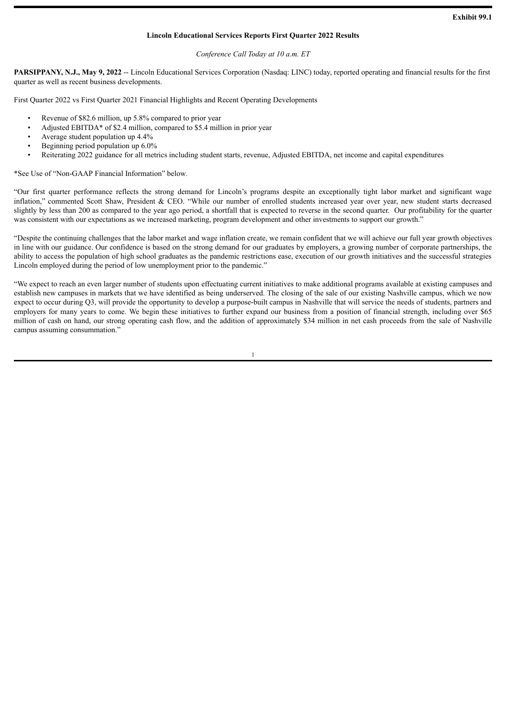#### **Lincoln Educational Services Reports First Quarter 2022 Results**

#### *Conference Call Today at 10 a.m. ET*

<span id="page-3-0"></span>**PARSIPPANY, N.J., May 9, 2022** -- Lincoln Educational Services Corporation (Nasdaq: LINC) today, reported operating and financial results for the first quarter as well as recent business developments.

First Quarter 2022 vs First Quarter 2021 Financial Highlights and Recent Operating Developments

- Revenue of \$82.6 million, up 5.8% compared to prior year
- Adjusted EBITDA\* of \$2.4 million, compared to \$5.4 million in prior year
- Average student population up 4.4%
- Beginning period population up 6.0%
- Reiterating 2022 guidance for all metrics including student starts, revenue, Adjusted EBITDA, net income and capital expenditures

\*See Use of "Non-GAAP Financial Information" below*.*

"Our first quarter performance reflects the strong demand for Lincoln's programs despite an exceptionally tight labor market and significant wage inflation," commented Scott Shaw, President & CEO. "While our number of enrolled students increased year over year, new student starts decreased slightly by less than 200 as compared to the year ago period, a shortfall that is expected to reverse in the second quarter. Our profitability for the quarter was consistent with our expectations as we increased marketing, program development and other investments to support our growth."

"Despite the continuing challenges that the labor market and wage inflation create, we remain confident that we will achieve our full year growth objectives in line with our guidance. Our confidence is based on the strong demand for our graduates by employers, a growing number of corporate partnerships, the ability to access the population of high school graduates as the pandemic restrictions ease, execution of our growth initiatives and the successful strategies Lincoln employed during the period of low unemployment prior to the pandemic."

"We expect to reach an even larger number of students upon effectuating current initiatives to make additional programs available at existing campuses and establish new campuses in markets that we have identified as being underserved. The closing of the sale of our existing Nashville campus, which we now expect to occur during Q3, will provide the opportunity to develop a purpose-built campus in Nashville that will service the needs of students, partners and employers for many years to come. We begin these initiatives to further expand our business from a position of financial strength, including over \$65 million of cash on hand, our strong operating cash flow, and the addition of approximately \$34 million in net cash proceeds from the sale of Nashville campus assuming consummation."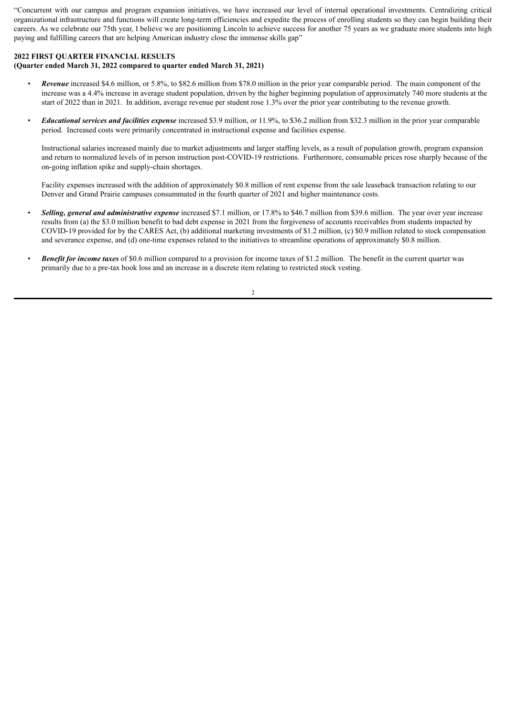"Concurrent with our campus and program expansion initiatives, we have increased our level of internal operational investments. Centralizing critical organizational infrastructure and functions will create long-term efficiencies and expedite the process of enrolling students so they can begin building their careers. As we celebrate our 75th year, I believe we are positioning Lincoln to achieve success for another 75 years as we graduate more students into high paying and fulfilling careers that are helping American industry close the immense skills gap"

#### **2022 FIRST QUARTER FINANCIAL RESULTS**

# **(Quarter ended March 31, 2022 compared to quarter ended March 31, 2021)**

- *Revenue* increased \$4.6 million, or 5.8%, to \$82.6 million from \$78.0 million in the prior year comparable period. The main component of the increase was a 4.4% increase in average student population, driven by the higher beginning population of approximately 740 more students at the start of 2022 than in 2021. In addition, average revenue per student rose 1.3% over the prior year contributing to the revenue growth.
- *Educational services and facilities expense* increased \$3.9 million, or 11.9%, to \$36.2 million from \$32.3 million in the prior year comparable period. Increased costs were primarily concentrated in instructional expense and facilities expense.

Instructional salaries increased mainly due to market adjustments and larger staffing levels, as a result of population growth, program expansion and return to normalized levels of in person instruction post-COVID-19 restrictions. Furthermore, consumable prices rose sharply because of the on-going inflation spike and supply-chain shortages.

Facility expenses increased with the addition of approximately \$0.8 million of rent expense from the sale leaseback transaction relating to our Denver and Grand Prairie campuses consummated in the fourth quarter of 2021 and higher maintenance costs.

- *Selling, general and administrative expense* increased \$7.1 million, or 17.8% to \$46.7 million from \$39.6 million. The year over year increase results from (a) the \$3.0 million benefit to bad debt expense in 2021 from the forgiveness of accounts receivables from students impacted by COVID-19 provided for by the CARES Act, (b) additional marketing investments of \$1.2 million, (c) \$0.9 million related to stock compensation and severance expense, and (d) one-time expenses related to the initiatives to streamline operations of approximately \$0.8 million.
- **Benefit for** *income* taxes of \$0.6 million compared to a provision for income taxes of \$1.2 million. The benefit in the current quarter was primarily due to a pre-tax book loss and an increase in a discrete item relating to restricted stock vesting.

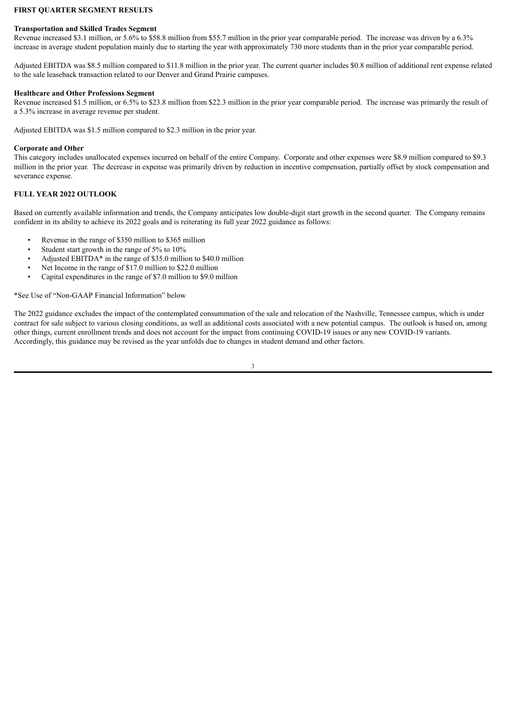#### **FIRST QUARTER SEGMENT RESULTS**

#### **Transportation and Skilled Trades Segment**

Revenue increased \$3.1 million, or 5.6% to \$58.8 million from \$55.7 million in the prior year comparable period. The increase was driven by a 6.3% increase in average student population mainly due to starting the year with approximately 730 more students than in the prior year comparable period.

Adjusted EBITDA was \$8.5 million compared to \$11.8 million in the prior year. The current quarter includes \$0.8 million of additional rent expense related to the sale leaseback transaction related to our Denver and Grand Prairie campuses.

#### **Healthcare and Other Professions Segment**

Revenue increased \$1.5 million, or 6.5% to \$23.8 million from \$22.3 million in the prior year comparable period. The increase was primarily the result of a 5.3% increase in average revenue per student.

Adjusted EBITDA was \$1.5 million compared to \$2.3 million in the prior year.

#### **Corporate and Other**

This category includes unallocated expenses incurred on behalf of the entire Company. Corporate and other expenses were \$8.9 million compared to \$9.3 million in the prior year. The decrease in expense was primarily driven by reduction in incentive compensation, partially offset by stock compensation and severance expense.

#### **FULL YEAR 2022 OUTLOOK**

Based on currently available information and trends, the Company anticipates low double-digit start growth in the second quarter. The Company remains confident in its ability to achieve its 2022 goals and is reiterating its full year 2022 guidance as follows:

- Revenue in the range of \$350 million to \$365 million
- Student start growth in the range of 5% to 10%
- Adjusted EBITDA\* in the range of \$35.0 million to \$40.0 million
- Net Income in the range of \$17.0 million to \$22.0 million
- Capital expenditures in the range of \$7.0 million to \$9.0 million

\*See Use of "Non-GAAP Financial Information" below

The 2022 guidance excludes the impact of the contemplated consummation of the sale and relocation of the Nashville, Tennessee campus, which is under contract for sale subject to various closing conditions, as well as additional costs associated with a new potential campus. The outlook is based on, among other things, current enrollment trends and does not account for the impact from continuing COVID-19 issues or any new COVID-19 variants. Accordingly, this guidance may be revised as the year unfolds due to changes in student demand and other factors.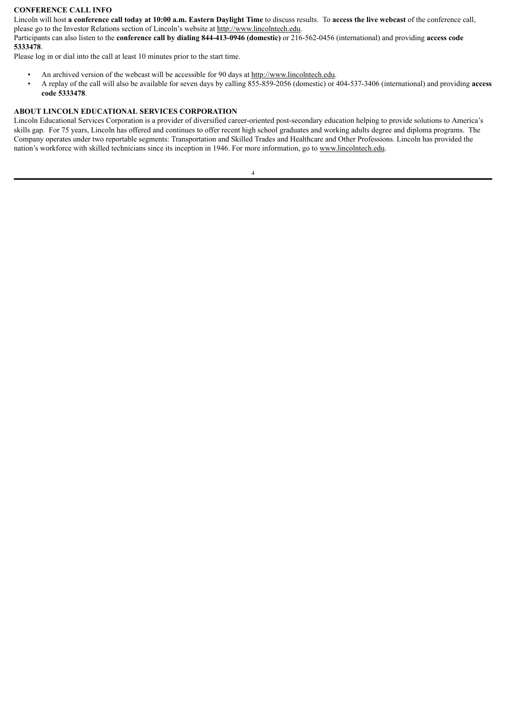# **CONFERENCE CALL INFO**

Lincoln will host a conference call today at 10:00 a.m. Eastern Daylight Time to discuss results. To access the live webcast of the conference call, please go to the Investor Relations section of Lincoln's website at http://www.lincolntech.edu.

Participants can also listen to the **conference call by dialing 844-413-0946 (domestic)** or 216-562-0456 (international) and providing **access code 5333478**.

Please log in or dial into the call at least 10 minutes prior to the start time.

- An archived version of the webcast will be accessible for 90 days at http://www.lincolntech.edu.
- A replay of the call will also be available for seven days by calling 855-859-2056 (domestic) or 404-537-3406 (international) and providing **access code 5333478**.

#### **ABOUT LINCOLN EDUCATIONAL SERVICES CORPORATION**

Lincoln Educational Services Corporation is a provider of diversified career-oriented post-secondary education helping to provide solutions to America's skills gap. For 75 years, Lincoln has offered and continues to offer recent high school graduates and working adults degree and diploma programs. The Company operates under two reportable segments: Transportation and Skilled Trades and Healthcare and Other Professions. Lincoln has provided the nation's workforce with skilled technicians since its inception in 1946. For more information, go to www.lincolntech.edu.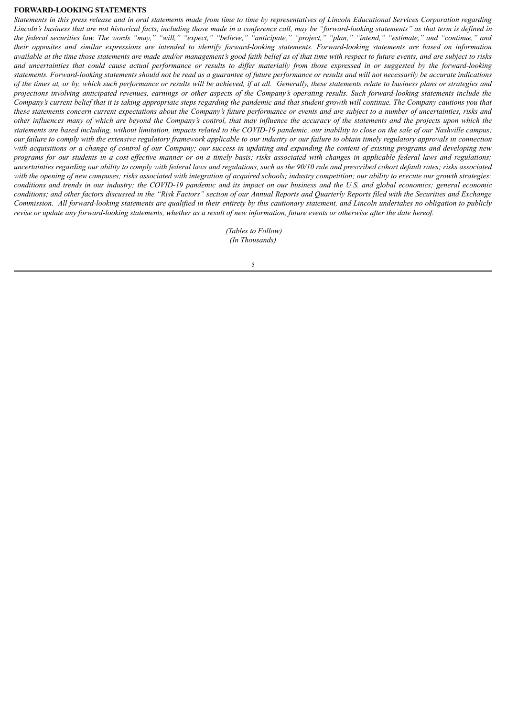#### **FORWARD-LOOKING STATEMENTS**

Statements in this press release and in oral statements made from time to time by representatives of Lincoln Educational Services Corporation regarding Lincoln's business that are not historical facts, including those made in a conference call, may be "forward-looking statements" as that term is defined in the federal securities law. The words "may," "will," "expect," "believe," "anticipate," "project," "plan," "intend," "estimate," and "continue," and their opposites and similar expressions are intended to identify forward-looking statements. Forward-looking statements are based on information available at the time those statements are made and/or management's good faith belief as of that time with respect to future events, and are subject to risks and uncertainties that could cause actual performance or results to differ materially from those expressed in or suggested by the forward-looking statements. Forward-looking statements should not be read as a guarantee of future performance or results and will not necessarily be accurate indications of the times at, or by, which such performance or results will be achieved, if at all. Generally, these statements relate to business plans or strategies and projections involving anticipated revenues, earnings or other aspects of the Company's operating results. Such forward-looking statements include the Company's current belief that it is taking appropriate steps regarding the pandemic and that student growth will continue. The Company cautions you that these statements concern current expectations about the Company's future performance or events and are subject to a number of uncertainties, risks and other influences many of which are beyond the Company's control, that may influence the accuracy of the statements and the projects upon which the statements are based including, without limitation, impacts related to the COVID-19 pandemic, our inability to close on the sale of our Nashville campus; our failure to comply with the extensive regulatory framework applicable to our industry or our failure to obtain timely regulatory approvals in connection with acquisitions or a change of control of our Company; our success in updating and expanding the content of existing programs and developing new programs for our students in a cost-effective manner or on a timely basis; risks associated with changes in applicable federal laws and regulations; uncertainties regarding our ability to comply with federal laws and regulations, such as the 90/10 rule and prescribed cohort default rates; risks associated with the opening of new campuses; risks associated with integration of acquired schools; industry competition; our ability to execute our growth strategies; conditions and trends in our industry; the COVID-19 pandemic and its impact on our business and the U.S. and global economics; general economic conditions; and other factors discussed in the "Risk Factors" section of our Annual Reports and Quarterly Reports filed with the Securities and Exchange Commission. All forward-looking statements are qualified in their entirety by this cautionary statement, and Lincoln undertakes no obligation to publicly revise or update any forward-looking statements, whether as a result of new information, future events or otherwise after the date hereof.

> *(Tables to Follow) (In Thousands)*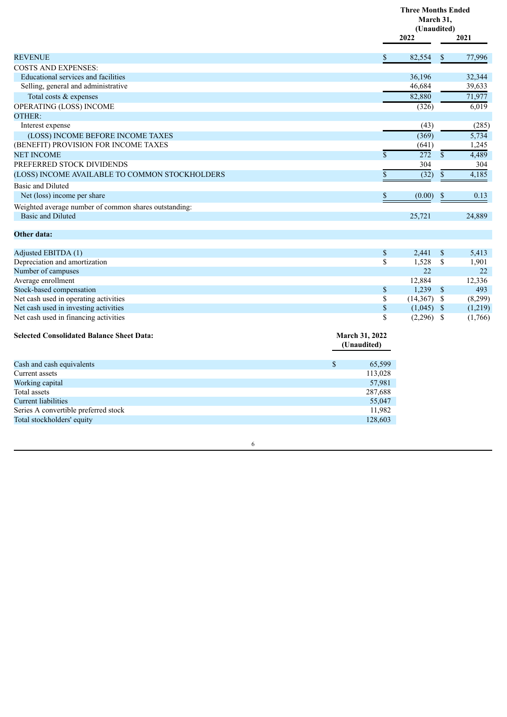|                                                                                   |                               | <b>Three Months Ended</b><br>March 31,<br>(Unaudited)<br>2022 |               | 2021         |
|-----------------------------------------------------------------------------------|-------------------------------|---------------------------------------------------------------|---------------|--------------|
| <b>REVENUE</b>                                                                    | \$                            | 82,554                                                        | \$            | 77,996       |
| <b>COSTS AND EXPENSES:</b>                                                        |                               |                                                               |               |              |
| Educational services and facilities                                               |                               | 36,196                                                        |               | 32,344       |
| Selling, general and administrative                                               |                               | 46,684                                                        |               | 39,633       |
| Total costs & expenses                                                            |                               | 82,880                                                        |               | 71,977       |
| <b>OPERATING (LOSS) INCOME</b>                                                    |                               | (326)                                                         |               | 6,019        |
| <b>OTHER:</b>                                                                     |                               |                                                               |               |              |
| Interest expense                                                                  |                               | (43)                                                          |               | (285)        |
| (LOSS) INCOME BEFORE INCOME TAXES                                                 |                               | (369)                                                         |               | 5,734        |
| (BENEFIT) PROVISION FOR INCOME TAXES                                              |                               | (641)                                                         |               | 1,245        |
| <b>NET INCOME</b>                                                                 | $\mathbf{\hat{S}}$            | 272                                                           | $\mathsf{\$}$ |              |
| PREFERRED STOCK DIVIDENDS                                                         |                               | 304                                                           |               | 4,489<br>304 |
|                                                                                   |                               |                                                               |               |              |
| (LOSS) INCOME AVAILABLE TO COMMON STOCKHOLDERS                                    | $\boldsymbol{\$}$             | (32)                                                          | $\mathbb S$   | 4,185        |
| Basic and Diluted                                                                 |                               |                                                               |               |              |
| Net (loss) income per share                                                       | $\mathbb S$                   | (0.00)                                                        | \$            | 0.13         |
| Weighted average number of common shares outstanding:<br><b>Basic and Diluted</b> |                               | 25,721                                                        |               | 24,889       |
| Other data:                                                                       |                               |                                                               |               |              |
| Adjusted EBITDA (1)                                                               | \$                            | 2,441                                                         | \$            | 5,413        |
| Depreciation and amortization                                                     | \$                            | 1,528                                                         | \$            | 1,901        |
| Number of campuses                                                                |                               | 22                                                            |               | 22           |
| Average enrollment                                                                |                               | 12,884                                                        |               | 12,336       |
| Stock-based compensation                                                          | $\$$                          | 1,239                                                         | $\mathbb{S}$  | 493          |
| Net cash used in operating activities                                             | \$                            | $(14,367)$ \$                                                 |               | (8,299)      |
| Net cash used in investing activities                                             | $\boldsymbol{\mathsf{S}}$     | $(1,045)$ \$                                                  |               | (1,219)      |
| Net cash used in financing activities                                             | \$                            | $(2,296)$ \$                                                  |               | (1,766)      |
| <b>Selected Consolidated Balance Sheet Data:</b>                                  | March 31, 2022<br>(Unaudited) |                                                               |               |              |
| Cash and cash equivalents                                                         | \$<br>65,599                  |                                                               |               |              |
| Current assets                                                                    | 113,028                       |                                                               |               |              |
| Working capital                                                                   | 57,981                        |                                                               |               |              |
| Total assets                                                                      | 287,688                       |                                                               |               |              |
| <b>Current liabilities</b>                                                        | 55,047                        |                                                               |               |              |
| Series A convertible preferred stock                                              | 11,982                        |                                                               |               |              |

6

Total stockholders' equity 128,603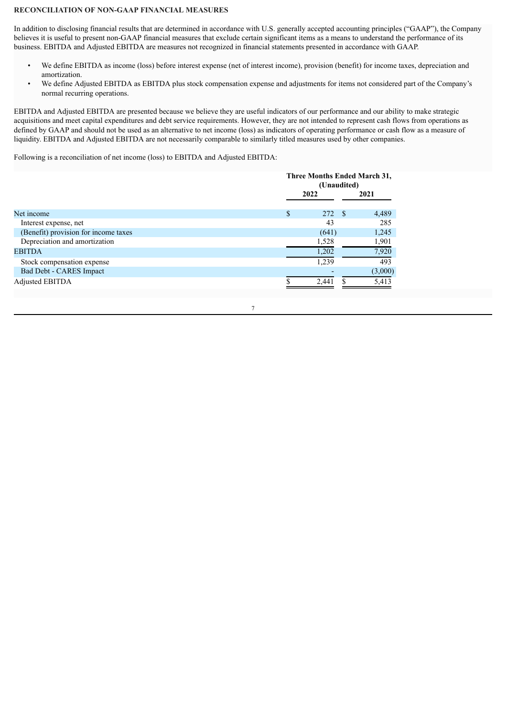#### **RECONCILIATION OF NON-GAAP FINANCIAL MEASURES**

In addition to disclosing financial results that are determined in accordance with U.S. generally accepted accounting principles ("GAAP"), the Company believes it is useful to present non-GAAP financial measures that exclude certain significant items as a means to understand the performance of its business. EBITDA and Adjusted EBITDA are measures not recognized in financial statements presented in accordance with GAAP.

- We define EBITDA as income (loss) before interest expense (net of interest income), provision (benefit) for income taxes, depreciation and amortization.
- We define Adjusted EBITDA as EBITDA plus stock compensation expense and adjustments for items not considered part of the Company's normal recurring operations.

EBITDA and Adjusted EBITDA are presented because we believe they are useful indicators of our performance and our ability to make strategic acquisitions and meet capital expenditures and debt service requirements. However, they are not intended to represent cash flows from operations as defined by GAAP and should not be used as an alternative to net income (loss) as indicators of operating performance or cash flow as a measure of liquidity. EBITDA and Adjusted EBITDA are not necessarily comparable to similarly titled measures used by other companies.

Following is a reconciliation of net income (loss) to EBITDA and Adjusted EBITDA:

|                                      | Three Months Ended March 31,<br>(Unaudited) |      |         |  |  |  |
|--------------------------------------|---------------------------------------------|------|---------|--|--|--|
|                                      | 2022                                        |      | 2021    |  |  |  |
| Net income                           | \$<br>272                                   | - \$ | 4,489   |  |  |  |
| Interest expense, net                | 43                                          |      | 285     |  |  |  |
| (Benefit) provision for income taxes | (641)                                       |      | 1,245   |  |  |  |
| Depreciation and amortization        | 1,528                                       |      | 1,901   |  |  |  |
| <b>EBITDA</b>                        | 1,202                                       |      | 7,920   |  |  |  |
| Stock compensation expense           | 1.239                                       |      | 493     |  |  |  |
| Bad Debt - CARES Impact              |                                             |      | (3,000) |  |  |  |
| Adjusted EBITDA                      | 2,441                                       |      | 5,413   |  |  |  |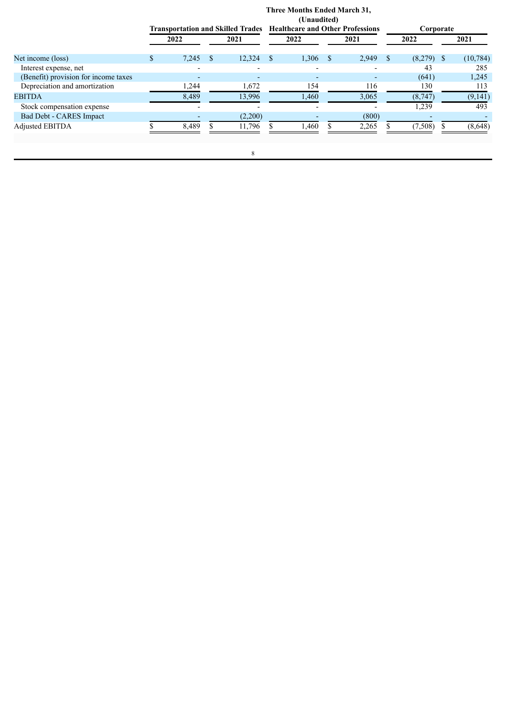|                                      | <b>Three Months Ended March 31,</b><br>(Unaudited)<br><b>Healthcare and Other Professions</b><br><b>Transportation and Skilled Trades</b> |                |  |         |    |       |    | Corporate |      |          |    |           |
|--------------------------------------|-------------------------------------------------------------------------------------------------------------------------------------------|----------------|--|---------|----|-------|----|-----------|------|----------|----|-----------|
|                                      |                                                                                                                                           | 2022           |  | 2021    |    | 2022  |    | 2021      |      | 2022     |    | 2021      |
| Net income (loss)                    | S.                                                                                                                                        | 7,245          |  | 12,324  | -S | 1,306 | -8 | 2,949     | - \$ | (8,279)  | -S | (10, 784) |
| Interest expense, net                |                                                                                                                                           |                |  |         |    |       |    |           |      | 43       |    | 285       |
| (Benefit) provision for income taxes |                                                                                                                                           | $\overline{a}$ |  | ٠       |    | -     |    |           |      | (641)    |    | 1,245     |
| Depreciation and amortization        |                                                                                                                                           | 1,244          |  | 1,672   |    | 154   |    | 116       |      | 130      |    | 113       |
| <b>EBITDA</b>                        |                                                                                                                                           | 8,489          |  | 13,996  |    | 1,460 |    | 3,065     |      | (8,747)  |    | (9,141)   |
| Stock compensation expense           |                                                                                                                                           |                |  |         |    |       |    |           |      | 1,239    |    | 493       |
| Bad Debt - CARES Impact              |                                                                                                                                           |                |  | (2,200) |    |       |    | (800)     |      |          |    |           |
| Adjusted EBITDA                      |                                                                                                                                           | 8,489          |  | 11,796  |    | 1,460 |    | 2,265     |      | (7, 508) |    | (8,648)   |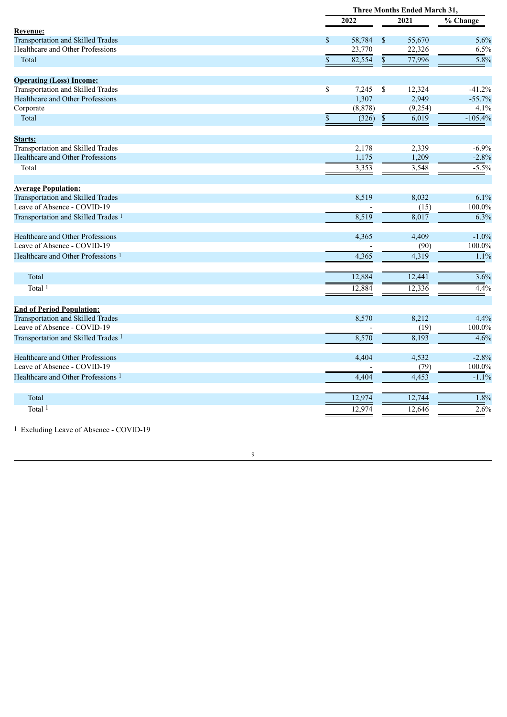|                                                                        |               | <b>Three Months Ended March 31,</b> |                 |          |                                |  |
|------------------------------------------------------------------------|---------------|-------------------------------------|-----------------|----------|--------------------------------|--|
|                                                                        |               | 2022                                |                 | 2021     | $\overline{\frac{6}{}}$ Change |  |
| Revenue:                                                               |               |                                     |                 |          |                                |  |
| <b>Transportation and Skilled Trades</b>                               | $\mathbb{S}$  | 58,784                              | $\mathbf{s}$    | 55,670   | 5.6%                           |  |
| Healthcare and Other Professions                                       |               | 23,770                              |                 | 22,326   | 6.5%                           |  |
| Total                                                                  | $\mathbf{\$}$ | 82,554                              | $\overline{\$}$ | 77,996   | 5.8%                           |  |
| <b>Operating (Loss) Income:</b>                                        |               |                                     |                 |          |                                |  |
| Transportation and Skilled Trades                                      | \$            | 7,245                               | $\mathbb S$     | 12,324   | $-41.2%$                       |  |
| <b>Healthcare and Other Professions</b>                                |               | 1,307                               |                 | 2,949    | $-55.7%$                       |  |
| Corporate                                                              |               | (8, 878)                            |                 | (9, 254) | 4.1%                           |  |
| Total                                                                  | S             | (326)                               | $\mathbb{S}$    | 6,019    | $-105.4%$                      |  |
| Starts:                                                                |               |                                     |                 |          |                                |  |
| Transportation and Skilled Trades                                      |               | 2,178                               |                 | 2,339    | $-6.9%$                        |  |
| Healthcare and Other Professions                                       |               | 1,175                               |                 | 1,209    | $-2.8%$                        |  |
| Total                                                                  |               | 3,353                               |                 | 3,548    | $-5.5%$                        |  |
|                                                                        |               |                                     |                 |          |                                |  |
| <b>Average Population:</b><br><b>Transportation and Skilled Trades</b> |               | 8,519                               |                 | 8,032    | 6.1%                           |  |
| Leave of Absence - COVID-19                                            |               |                                     |                 |          | 100.0%                         |  |
|                                                                        |               |                                     |                 | (15)     |                                |  |
| Transportation and Skilled Trades <sup>1</sup>                         |               | 8,519                               |                 | 8,017    | $\frac{1}{6.3\%}$              |  |
| Healthcare and Other Professions                                       |               | 4,365                               |                 | 4,409    | $-1.0%$                        |  |
| Leave of Absence - COVID-19                                            |               |                                     |                 | (90)     | 100.0%                         |  |
| Healthcare and Other Professions 1                                     |               | 4,365                               |                 | 4,319    | 1.1%                           |  |
| Total                                                                  |               | 12,884                              |                 | 12,441   | 3.6%                           |  |
| Total <sup>1</sup>                                                     |               | 12,884                              |                 | 12,336   | 4.4%                           |  |
|                                                                        |               |                                     |                 |          |                                |  |
| <b>End of Period Population:</b>                                       |               |                                     |                 |          |                                |  |
| Transportation and Skilled Trades                                      |               | 8,570                               |                 | 8,212    | 4.4%                           |  |
| Leave of Absence - COVID-19                                            |               |                                     |                 | (19)     | 100.0%                         |  |
| Transportation and Skilled Trades <sup>1</sup>                         |               | 8,570                               |                 | 8,193    | 4.6%                           |  |
| Healthcare and Other Professions                                       |               | 4,404                               |                 | 4,532    | $-2.8%$                        |  |
| Leave of Absence - COVID-19                                            |               |                                     |                 | (79)     | 100.0%                         |  |
| Healthcare and Other Professions <sup>1</sup>                          |               | 4,404                               |                 | 4,453    | $-1.1%$                        |  |
| Total                                                                  |               | 12,974                              |                 | 12,744   | 1.8%                           |  |
|                                                                        |               |                                     |                 |          |                                |  |
| Total <sup>1</sup>                                                     |               | 12,974                              |                 | 12,646   | 2.6%                           |  |

1 Excluding Leave of Absence - COVID-19